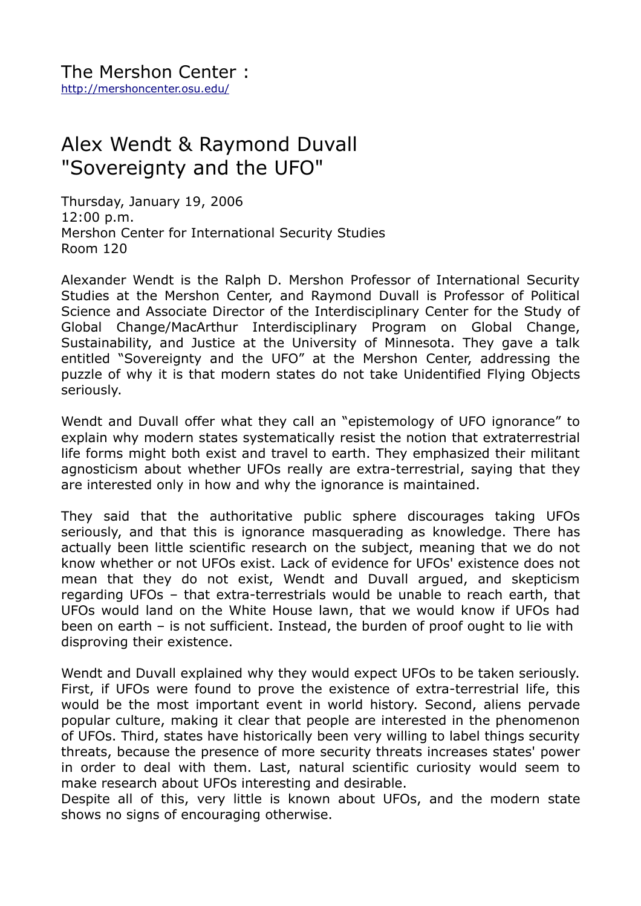## Alex Wendt & Raymond Duvall "Sovereignty and the UFO"

Thursday, January 19, 2006 12:00 p.m. Mershon Center for International Security Studies Room 120

Alexander Wendt is the Ralph D. Mershon Professor of International Security Studies at the Mershon Center, and Raymond Duvall is Professor of Political Science and Associate Director of the Interdisciplinary Center for the Study of Global Change/MacArthur Interdisciplinary Program on Global Change, Sustainability, and Justice at the University of Minnesota. They gave a talk entitled "Sovereignty and the UFO" at the Mershon Center, addressing the puzzle of why it is that modern states do not take Unidentified Flying Objects seriously.

Wendt and Duvall offer what they call an "epistemology of UFO ignorance" to explain why modern states systematically resist the notion that extraterrestrial life forms might both exist and travel to earth. They emphasized their militant agnosticism about whether UFOs really are extra-terrestrial, saying that they are interested only in how and why the ignorance is maintained.

They said that the authoritative public sphere discourages taking UFOs seriously, and that this is ignorance masquerading as knowledge. There has actually been little scientific research on the subject, meaning that we do not know whether or not UFOs exist. Lack of evidence for UFOs' existence does not mean that they do not exist, Wendt and Duvall argued, and skepticism regarding UFOs – that extra-terrestrials would be unable to reach earth, that UFOs would land on the White House lawn, that we would know if UFOs had been on earth – is not sufficient. Instead, the burden of proof ought to lie with disproving their existence.

Wendt and Duvall explained why they would expect UFOs to be taken seriously. First, if UFOs were found to prove the existence of extra-terrestrial life, this would be the most important event in world history. Second, aliens pervade popular culture, making it clear that people are interested in the phenomenon of UFOs. Third, states have historically been very willing to label things security threats, because the presence of more security threats increases states' power in order to deal with them. Last, natural scientific curiosity would seem to make research about UFOs interesting and desirable.

Despite all of this, very little is known about UFOs, and the modern state shows no signs of encouraging otherwise.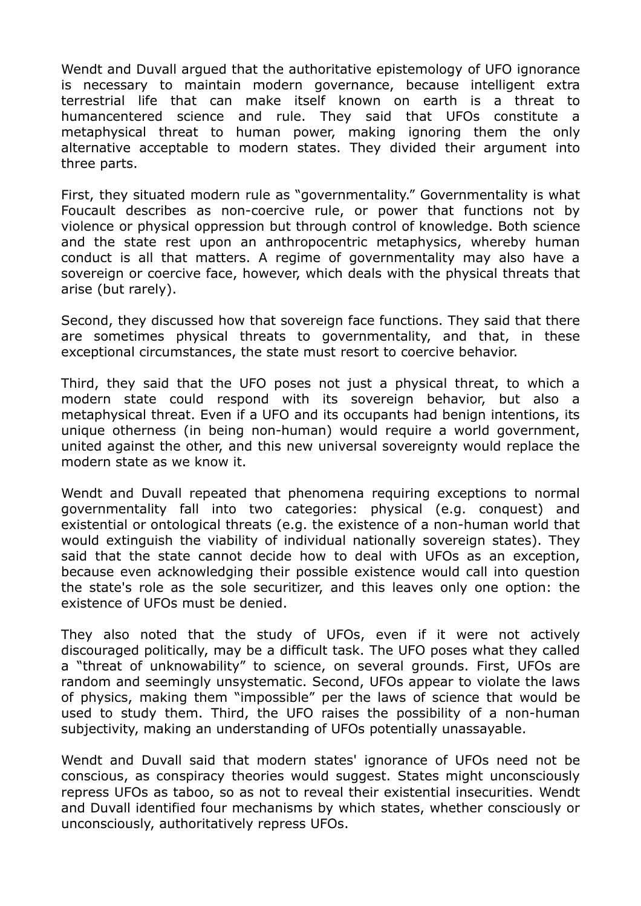Wendt and Duvall argued that the authoritative epistemology of UFO ignorance is necessary to maintain modern governance, because intelligent extra terrestrial life that can make itself known on earth is a threat to humancentered science and rule. They said that UFOs constitute a metaphysical threat to human power, making ignoring them the only alternative acceptable to modern states. They divided their argument into three parts.

First, they situated modern rule as "governmentality." Governmentality is what Foucault describes as non-coercive rule, or power that functions not by violence or physical oppression but through control of knowledge. Both science and the state rest upon an anthropocentric metaphysics, whereby human conduct is all that matters. A regime of governmentality may also have a sovereign or coercive face, however, which deals with the physical threats that arise (but rarely).

Second, they discussed how that sovereign face functions. They said that there are sometimes physical threats to governmentality, and that, in these exceptional circumstances, the state must resort to coercive behavior.

Third, they said that the UFO poses not just a physical threat, to which a modern state could respond with its sovereign behavior, but also a metaphysical threat. Even if a UFO and its occupants had benign intentions, its unique otherness (in being non-human) would require a world government, united against the other, and this new universal sovereignty would replace the modern state as we know it.

Wendt and Duvall repeated that phenomena requiring exceptions to normal governmentality fall into two categories: physical (e.g. conquest) and existential or ontological threats (e.g. the existence of a non-human world that would extinguish the viability of individual nationally sovereign states). They said that the state cannot decide how to deal with UFOs as an exception, because even acknowledging their possible existence would call into question the state's role as the sole securitizer, and this leaves only one option: the existence of UFOs must be denied.

They also noted that the study of UFOs, even if it were not actively discouraged politically, may be a difficult task. The UFO poses what they called a "threat of unknowability" to science, on several grounds. First, UFOs are random and seemingly unsystematic. Second, UFOs appear to violate the laws of physics, making them "impossible" per the laws of science that would be used to study them. Third, the UFO raises the possibility of a non-human subjectivity, making an understanding of UFOs potentially unassayable.

Wendt and Duvall said that modern states' ignorance of UFOs need not be conscious, as conspiracy theories would suggest. States might unconsciously repress UFOs as taboo, so as not to reveal their existential insecurities. Wendt and Duvall identified four mechanisms by which states, whether consciously or unconsciously, authoritatively repress UFOs.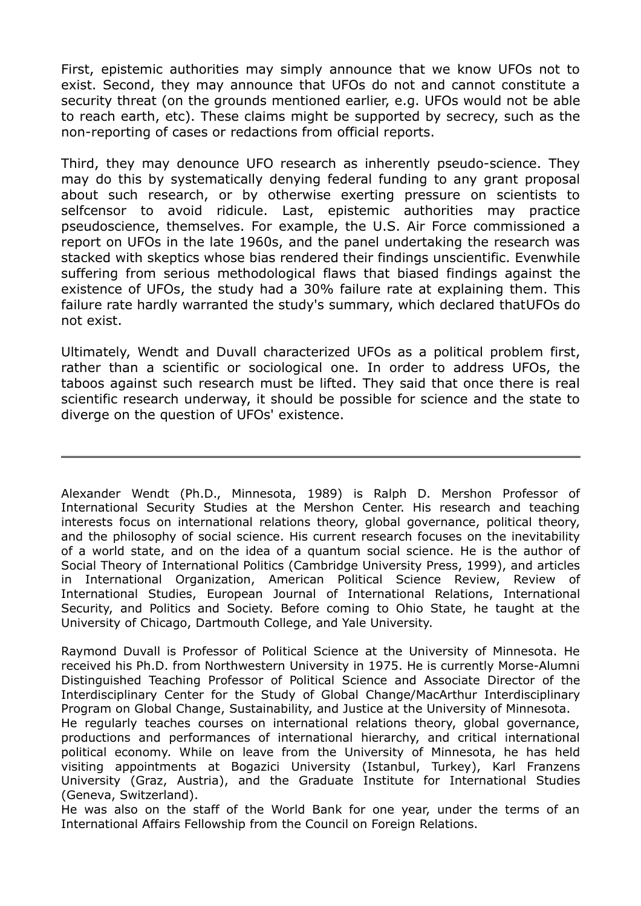First, epistemic authorities may simply announce that we know UFOs not to exist. Second, they may announce that UFOs do not and cannot constitute a security threat (on the grounds mentioned earlier, e.g. UFOs would not be able to reach earth, etc). These claims might be supported by secrecy, such as the non-reporting of cases or redactions from official reports.

Third, they may denounce UFO research as inherently pseudo-science. They may do this by systematically denying federal funding to any grant proposal about such research, or by otherwise exerting pressure on scientists to selfcensor to avoid ridicule. Last, epistemic authorities may practice pseudoscience, themselves. For example, the U.S. Air Force commissioned a report on UFOs in the late 1960s, and the panel undertaking the research was stacked with skeptics whose bias rendered their findings unscientific. Evenwhile suffering from serious methodological flaws that biased findings against the existence of UFOs, the study had a 30% failure rate at explaining them. This failure rate hardly warranted the study's summary, which declared thatUFOs do not exist.

Ultimately, Wendt and Duvall characterized UFOs as a political problem first, rather than a scientific or sociological one. In order to address UFOs, the taboos against such research must be lifted. They said that once there is real scientific research underway, it should be possible for science and the state to diverge on the question of UFOs' existence.

Alexander Wendt (Ph.D., Minnesota, 1989) is Ralph D. Mershon Professor of International Security Studies at the Mershon Center. His research and teaching interests focus on international relations theory, global governance, political theory, and the philosophy of social science. His current research focuses on the inevitability of a world state, and on the idea of a quantum social science. He is the author of Social Theory of International Politics (Cambridge University Press, 1999), and articles in International Organization, American Political Science Review, Review of International Studies, European Journal of International Relations, International Security, and Politics and Society. Before coming to Ohio State, he taught at the University of Chicago, Dartmouth College, and Yale University.

Raymond Duvall is Professor of Political Science at the University of Minnesota. He received his Ph.D. from Northwestern University in 1975. He is currently Morse-Alumni Distinguished Teaching Professor of Political Science and Associate Director of the Interdisciplinary Center for the Study of Global Change/MacArthur Interdisciplinary Program on Global Change, Sustainability, and Justice at the University of Minnesota.

He regularly teaches courses on international relations theory, global governance, productions and performances of international hierarchy, and critical international political economy. While on leave from the University of Minnesota, he has held visiting appointments at Bogazici University (Istanbul, Turkey), Karl Franzens University (Graz, Austria), and the Graduate Institute for International Studies (Geneva, Switzerland).

He was also on the staff of the World Bank for one year, under the terms of an International Affairs Fellowship from the Council on Foreign Relations.